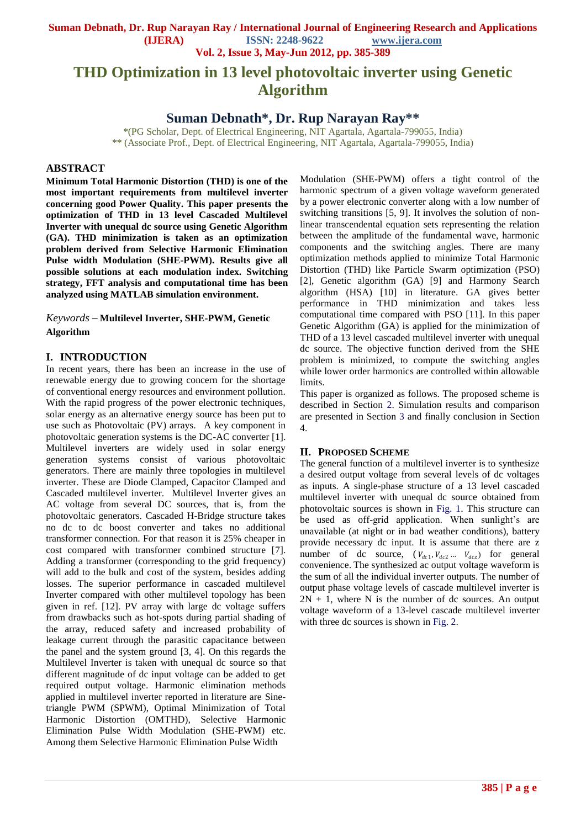**Suman Debnath, Dr. Rup Narayan Ray / International Journal of Engineering Research and Applications ISSN: 2248-9622** www.ijera.com

**Vol. 2, Issue 3, May-Jun 2012, pp. 385-389**

# **THD Optimization in 13 level photovoltaic inverter using Genetic Algorithm**

## **Suman Debnath\*, Dr. Rup Narayan Ray\*\***

\*(PG Scholar, Dept. of Electrical Engineering, NIT Agartala, Agartala-799055, India) \*\* (Associate Prof., Dept. of Electrical Engineering, NIT Agartala, Agartala-799055, India)

## **ABSTRACT**

**Minimum Total Harmonic Distortion (THD) is one of the most important requirements from multilevel inverter concerning good Power Quality. This paper presents the optimization of THD in 13 level Cascaded Multilevel Inverter with unequal dc source using Genetic Algorithm (GA). THD minimization is taken as an optimization problem derived from Selective Harmonic Elimination Pulse width Modulation (SHE-PWM). Results give all possible solutions at each modulation index. Switching strategy, FFT analysis and computational time has been analyzed using MATLAB simulation environment.** 

*Keywords* **– Multilevel Inverter, SHE-PWM, Genetic Algorithm**

#### **I. INTRODUCTION**

In recent years, there has been an increase in the use of renewable energy due to growing concern for the shortage of conventional energy resources and environment pollution. With the rapid progress of the power electronic techniques, solar energy as an alternative energy source has been put to use such as Photovoltaic (PV) arrays. A key component in photovoltaic generation systems is the DC-AC converter [1]. Multilevel inverters are widely used in solar energy generation systems consist of various photovoltaic generators. There are mainly three topologies in multilevel inverter. These are Diode Clamped, Capacitor Clamped and Cascaded multilevel inverter. Multilevel Inverter gives an AC voltage from several DC sources, that is, from the photovoltaic generators. Cascaded H-Bridge structure takes no dc to dc boost converter and takes no additional transformer connection. For that reason it is 25% cheaper in cost compared with transformer combined structure [7]. Adding a transformer (corresponding to the grid frequency) will add to the bulk and cost of the system, besides adding losses. The superior performance in cascaded multilevel Inverter compared with other multilevel topology has been given in ref. [12]. PV array with large dc voltage suffers from drawbacks such as hot-spots during partial shading of the array, reduced safety and increased probability of leakage current through the parasitic capacitance between the panel and the system ground [3, 4]. On this regards the Multilevel Inverter is taken with unequal dc source so that different magnitude of dc input voltage can be added to get required output voltage. Harmonic elimination methods applied in multilevel inverter reported in literature are Sinetriangle PWM (SPWM), Optimal Minimization of Total Harmonic Distortion (OMTHD), Selective Harmonic Elimination Pulse Width Modulation (SHE-PWM) etc. Among them Selective Harmonic Elimination Pulse Width

Modulation (SHE-PWM) offers a tight control of the harmonic spectrum of a given voltage waveform generated by a power electronic converter along with a low number of switching transitions [5, 9]. It involves the solution of nonlinear transcendental equation sets representing the relation between the amplitude of the fundamental wave, harmonic components and the switching angles. There are many optimization methods applied to minimize Total Harmonic Distortion (THD) like Particle Swarm optimization (PSO) [2], Genetic algorithm (GA) [9] and Harmony Search algorithm (HSA) [10] in literature. GA gives better performance in THD minimization and takes less computational time compared with PSO [11]. In this paper Genetic Algorithm (GA) is applied for the minimization of THD of a 13 level cascaded multilevel inverter with unequal dc source. The objective function derived from the SHE problem is minimized, to compute the switching angles while lower order harmonics are controlled within allowable limits.

This paper is organized as follows. The proposed scheme is described in Section 2. Simulation results and comparison are presented in Section 3 and finally conclusion in Section 4.

#### **II. PROPOSED SCHEME**

The general function of a multilevel inverter is to synthesize a desired output voltage from several levels of dc voltages as inputs. A single-phase structure of a 13 level cascaded multilevel inverter with unequal dc source obtained from photovoltaic sources is shown in Fig. 1. This structure can be used as off-grid application. When sunlight's are unavailable (at night or in bad weather conditions), battery provide necessary dc input. It is assume that there are z number of dc source,  $(V_{dc1}, V_{dc2} \dots V_{dcz})$  for general convenience. The synthesized ac output voltage waveform is the sum of all the individual inverter outputs. The number of output phase voltage levels of cascade multilevel inverter is  $2N + 1$ , where N is the number of dc sources. An output voltage waveform of a 13-level cascade multilevel inverter with three dc sources is shown in Fig. 2.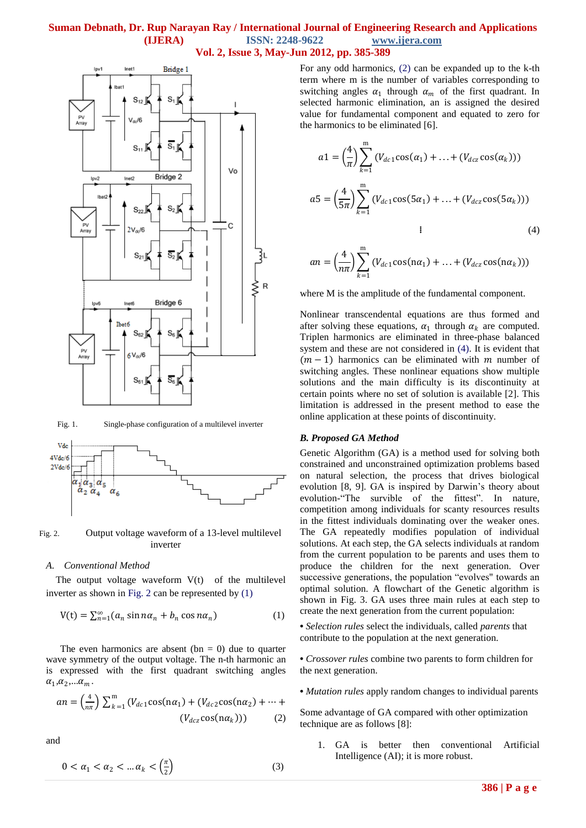## **Suman Debnath, Dr. Rup Narayan Ray / International Journal of Engineering Research and Applications (IJERA) ISSN: 2248-9622 www.ijera.com Vol. 2, Issue 3, May-Jun 2012, pp. 385-389**



Fig. 1. Single-phase configuration of a multilevel inverter



Fig. 2. Output voltage waveform of a 13-level multilevel inverter

#### *A. Conventional Method*

The output voltage waveform  $V(t)$  of the multilevel inverter as shown in Fig. 2 can be represented by (1)

$$
V(t) = \sum_{n=1}^{\infty} (a_n \sin n\alpha_n + b_n \cos n\alpha_n)
$$
 (1)

The even harmonics are absent (bn  $= 0$ ) due to quarter wave symmetry of the output voltage. The n-th harmonic an is expressed with the first quadrant switching angles  $\alpha_1, \alpha_2, \ldots \alpha_m$ .

$$
an = \left(\frac{4}{n\pi}\right) \sum_{k=1}^{m} \left(V_{dc1} \cos(n\alpha_1) + (V_{dc2} \cos(n\alpha_2) + \dots + (V_{dc2} \cos(n\alpha_k))\right)
$$
 (2)

and

$$
0 < \alpha_1 < \alpha_2 < \dots \alpha_k < \left(\frac{\pi}{2}\right) \tag{3}
$$

For any odd harmonics, (2) can be expanded up to the k-th term where m is the number of variables corresponding to switching angles  $\alpha_1$  through  $\alpha_m$  of the first quadrant. In selected harmonic elimination, an is assigned the desired value for fundamental component and equated to zero for the harmonics to be eliminated [6].

$$
a1 = \left(\frac{4}{\pi}\right) \sum_{k=1}^{m} \left(V_{dc1} \cos(\alpha_1) + \dots + \left(V_{dcz} \cos(\alpha_k)\right)\right)
$$
  

$$
a5 = \left(\frac{4}{5\pi}\right) \sum_{k=1}^{m} \left(V_{dc1} \cos(5\alpha_1) + \dots + \left(V_{dcz} \cos(5\alpha_k)\right)\right)
$$
  
ii (4)

$$
an = \left(\frac{4}{n\pi}\right) \sum_{k=1}^{m} \left(V_{dc1} \cos(n\alpha_1) + \ldots + \left(V_{dcz} \cos(n\alpha_k)\right)\right)
$$

where M is the amplitude of the fundamental component.

Nonlinear transcendental equations are thus formed and after solving these equations,  $\alpha_1$  through  $\alpha_k$  are computed. Triplen harmonics are eliminated in three-phase balanced system and these are not considered in (4). It is evident that  $(m - 1)$  harmonics can be eliminated with *m* number of switching angles. These nonlinear equations show multiple solutions and the main difficulty is its discontinuity at certain points where no set of solution is available [2]. This limitation is addressed in the present method to ease the online application at these points of discontinuity.

#### *B. Proposed GA Method*

Genetic Algorithm (GA) is a method used for solving both constrained and unconstrained optimization problems based on natural selection, the process that drives biological evolution [8, 9]. GA is inspired by Darwin's theory about evolution-"The survible of the fittest". In nature, competition among individuals for scanty resources results in the fittest individuals dominating over the weaker ones. The GA repeatedly modifies population of individual solutions. At each step, the GA selects individuals at random from the current population to be parents and uses them to produce the children for the next generation. Over successive generations, the population "evolves" towards an optimal solution. A flowchart of the Genetic algorithm is shown in Fig. 3. GA uses three main rules at each step to create the next generation from the current population:

**•** *Selection rules* select the individuals, called *parents* that contribute to the population at the next generation.

**•** *Crossover rules* combine two parents to form children for the next generation.

**•** *Mutation rules* apply random changes to individual parents

Some advantage of GA compared with other optimization technique are as follows [8]:

1. GA is better then conventional Artificial Intelligence (AI); it is more robust.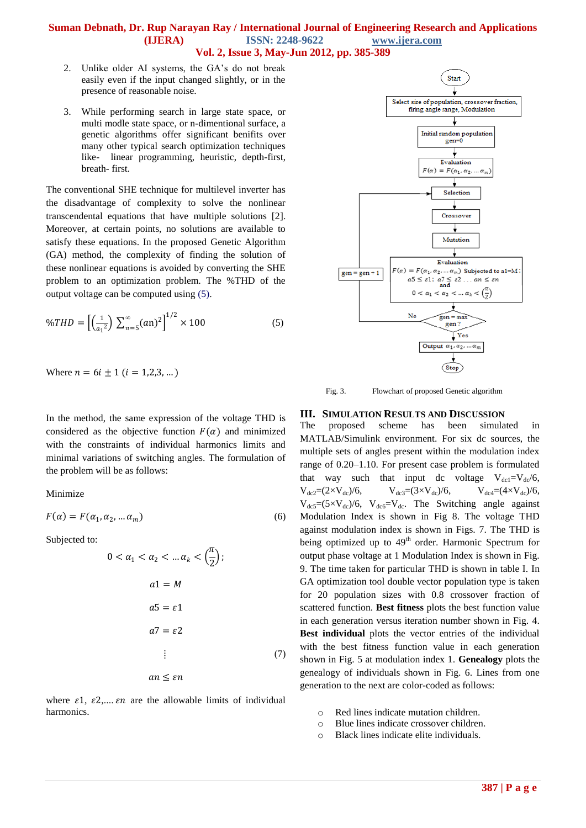### **Suman Debnath, Dr. Rup Narayan Ray / International Journal of Engineering Research and Applications (IJERA) ISSN: 2248-9622 www.ijera.com Vol. 2, Issue 3, May-Jun 2012, pp. 385-389**

- 2. Unlike older AI systems, the GA's do not break easily even if the input changed slightly, or in the presence of reasonable noise.
- 3. While performing search in large state space, or multi modle state space, or n-dimentional surface, a genetic algorithms offer significant benifits over many other typical search optimization techniques like- linear programming, heuristic, depth-first, breath- first.

The conventional SHE technique for multilevel inverter has the disadvantage of complexity to solve the nonlinear transcendental equations that have multiple solutions [2]. Moreover, at certain points, no solutions are available to satisfy these equations. In the proposed Genetic Algorithm (GA) method, the complexity of finding the solution of these nonlinear equations is avoided by converting the SHE problem to an optimization problem. The %THD of the output voltage can be computed using (5).

$$
\%THD = \left[ \left( \frac{1}{a_1^2} \right) \sum_{n=5}^{\infty} (an)^2 \right]^{1/2} \times 100 \tag{5}
$$

Where 
$$
n = 6i \pm 1
$$
  $(i = 1,2,3,...)$ 

In the method, the same expression of the voltage THD is considered as the objective function  $F(\alpha)$  and minimized with the constraints of individual harmonics limits and minimal variations of switching angles. The formulation of the problem will be as follows:

#### Minimize

$$
F(\alpha) = F(\alpha_1, \alpha_2, \dots \alpha_m)
$$
 (6)

Subjected to:

$$
0 < \alpha_1 < \alpha_2 < \dots \alpha_k < \left(\frac{\pi}{2}\right);
$$
\n
$$
a1 = M
$$
\n
$$
a5 = \varepsilon 1
$$
\n
$$
a7 = \varepsilon 2
$$
\n
$$
\vdots \qquad (7)
$$
\n
$$
an \leq \varepsilon n
$$

where  $\varepsilon$ 1,  $\varepsilon$ 2,....  $\varepsilon$ *n* are the allowable limits of individual harmonics.



Fig. 3. Flowchart of proposed Genetic algorithm

#### **III. SIMULATION RESULTS AND DISCUSSION**

The proposed scheme has been simulated in MATLAB/Simulink environment. For six dc sources, the multiple sets of angles present within the modulation index range of 0.20–1.10. For present case problem is formulated that way such that input dc voltage  $V_{dc1}=V_{dc}/6$ ,  $V_{dc2} = (2 \times V_{dc})/6$ ,  $V_{dc3} = (3 \times V_{dc})/6$ ,  $V_{dc4} = (4 \times V_{dc})/6$ ,  $V_{dc5}=(5\times V_{dc})/6$ ,  $V_{dc6}=V_{dc}$ . The Switching angle against Modulation Index is shown in Fig 8. The voltage THD against modulation index is shown in Figs. 7. The THD is being optimized up to  $49<sup>th</sup>$  order. Harmonic Spectrum for output phase voltage at 1 Modulation Index is shown in Fig. 9. The time taken for particular THD is shown in table I. In GA optimization tool double vector population type is taken for 20 population sizes with 0.8 crossover fraction of scattered function. **Best fitness** plots the best function value in each generation versus iteration number shown in Fig. 4. **Best individual** plots the vector entries of the individual with the best fitness function value in each generation shown in Fig. 5 at modulation index 1. **Genealogy** plots the genealogy of individuals shown in Fig. 6. Lines from one generation to the next are color-coded as follows:

- o Red lines indicate mutation children.
- o Blue lines indicate crossover children.
- o Black lines indicate elite individuals.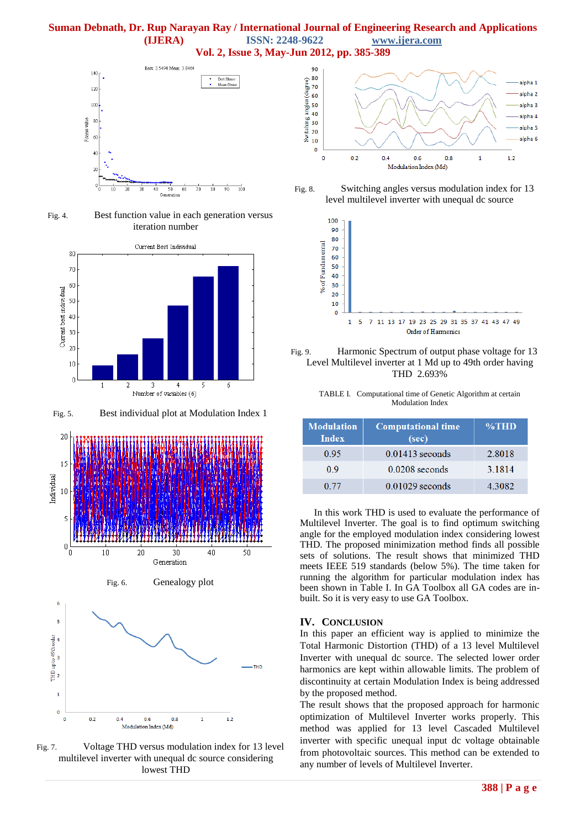

Fig. 4. Best function value in each generation versus iteration number



Fig. 5. Best individual plot at Modulation Index 1



Fig. 7. Voltage THD versus modulation index for 13 level multilevel inverter with unequal dc source considering lowest THD







Fig. 9. Harmonic Spectrum of output phase voltage for 13 Level Multilevel inverter at 1 Md up to 49th order having THD 2.693%

TABLE I. Computational time of Genetic Algorithm at certain Modulation Index

| <b>Modulation</b><br><b>Index</b> | <b>Computational time</b><br>(sec) | $\%THD$ |
|-----------------------------------|------------------------------------|---------|
| 0.95                              | $0.01413$ seconds                  | 2.8018  |
| 09                                | $0.0208$ seconds                   | 3.1814  |
| 0.77                              | $0.01029$ seconds                  | 4.3082  |

In this work THD is used to evaluate the performance of Multilevel Inverter. The goal is to find optimum switching angle for the employed modulation index considering lowest THD. The proposed minimization method finds all possible sets of solutions. The result shows that minimized THD meets IEEE 519 standards (below 5%). The time taken for running the algorithm for particular modulation index has been shown in Table I. In GA Toolbox all GA codes are inbuilt. So it is very easy to use GA Toolbox.

#### **IV. CONCLUSION**

In this paper an efficient way is applied to minimize the Total Harmonic Distortion (THD) of a 13 level Multilevel Inverter with unequal dc source. The selected lower order harmonics are kept within allowable limits. The problem of discontinuity at certain Modulation Index is being addressed by the proposed method.

The result shows that the proposed approach for harmonic optimization of Multilevel Inverter works properly. This method was applied for 13 level Cascaded Multilevel inverter with specific unequal input dc voltage obtainable from photovoltaic sources. This method can be extended to any number of levels of Multilevel Inverter.